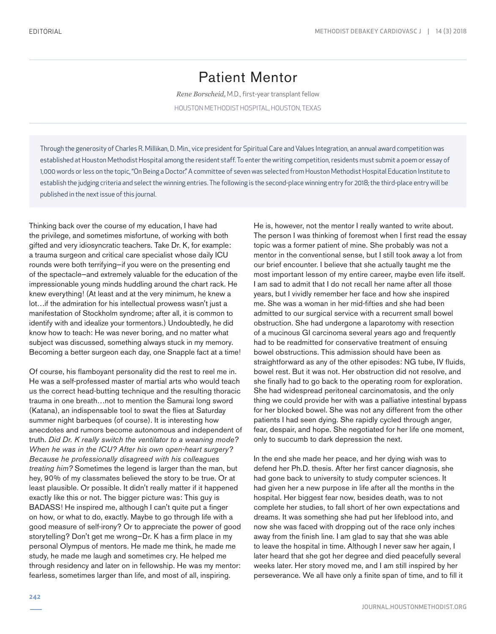## Patient Mentor

*Rene Borscheid,* M.D., first-year transplant fellow

HOUSTON METHODIST HOSPITAL, HOUSTON, TEXAS

Through the generosity of Charles R. Millikan, D. Min., vice president for Spiritual Care and Values Integration, an annual award competition was established at Houston Methodist Hospital among the resident staff. To enter the writing competition, residents must submit a poem or essay of 1,000 words or less on the topic, "On Being a Doctor." A committee of seven was selected from Houston Methodist Hospital Education Institute to establish the judging criteria and select the winning entries. The following is the second-place winning entry for 2018; the third-place entry will be published in the next issue of this journal.

Thinking back over the course of my education, I have had the privilege, and sometimes misfortune, of working with both gifted and very idiosyncratic teachers. Take Dr. K, for example: a trauma surgeon and critical care specialist whose daily ICU rounds were both terrifying—if you were on the presenting end of the spectacle—and extremely valuable for the education of the impressionable young minds huddling around the chart rack. He knew everything! (At least and at the very minimum, he knew a lot…if the admiration for his intellectual prowess wasn't just a manifestation of Stockholm syndrome; after all, it is common to identify with and idealize your tormentors.) Undoubtedly, he did know how to teach: He was never boring, and no matter what subject was discussed, something always stuck in my memory. Becoming a better surgeon each day, one Snapple fact at a time!

Of course, his flamboyant personality did the rest to reel me in. He was a self-professed master of martial arts who would teach us the correct head-butting technique and the resulting thoracic trauma in one breath…not to mention the Samurai long sword (Katana), an indispensable tool to swat the flies at Saturday summer night barbeques (of course). It is interesting how anecdotes and rumors become autonomous and independent of truth. *Did Dr. K really switch the ventilator to a weaning mode? When he was in the ICU? After his own open-heart surgery? Because he professionally disagreed with his colleagues treating him?* Sometimes the legend is larger than the man, but hey, 90% of my classmates believed the story to be true. Or at least plausible. Or possible. It didn't really matter if it happened exactly like this or not. The bigger picture was: This guy is BADASS! He inspired me, although I can't quite put a finger on how, or what to do, exactly. Maybe to go through life with a good measure of self-irony? Or to appreciate the power of good storytelling? Don't get me wrong—Dr. K has a firm place in my personal Olympus of mentors. He made me think, he made me study, he made me laugh and sometimes cry. He helped me through residency and later on in fellowship. He was my mentor: fearless, sometimes larger than life, and most of all, inspiring.

He is, however, not the mentor I really wanted to write about. The person I was thinking of foremost when I first read the essay topic was a former patient of mine. She probably was not a mentor in the conventional sense, but I still took away a lot from our brief encounter. I believe that she actually taught me the most important lesson of my entire career, maybe even life itself. I am sad to admit that I do not recall her name after all those years, but I vividly remember her face and how she inspired me. She was a woman in her mid-fifties and she had been admitted to our surgical service with a recurrent small bowel obstruction. She had undergone a laparotomy with resection of a mucinous GI carcinoma several years ago and frequently had to be readmitted for conservative treatment of ensuing bowel obstructions. This admission should have been as straightforward as any of the other episodes: NG tube, IV fluids, bowel rest. But it was not. Her obstruction did not resolve, and she finally had to go back to the operating room for exploration. She had widespread peritoneal carcinomatosis, and the only thing we could provide her with was a palliative intestinal bypass for her blocked bowel. She was not any different from the other patients I had seen dying. She rapidly cycled through anger, fear, despair, and hope. She negotiated for her life one moment, only to succumb to dark depression the next.

In the end she made her peace, and her dying wish was to defend her Ph.D. thesis. After her first cancer diagnosis, she had gone back to university to study computer sciences. It had given her a new purpose in life after all the months in the hospital. Her biggest fear now, besides death, was to not complete her studies, to fall short of her own expectations and dreams. It was something she had put her lifeblood into, and now she was faced with dropping out of the race only inches away from the finish line. I am glad to say that she was able to leave the hospital in time. Although I never saw her again, I later heard that she got her degree and died peacefully several weeks later. Her story moved me, and I am still inspired by her perseverance. We all have only a finite span of time, and to fill it